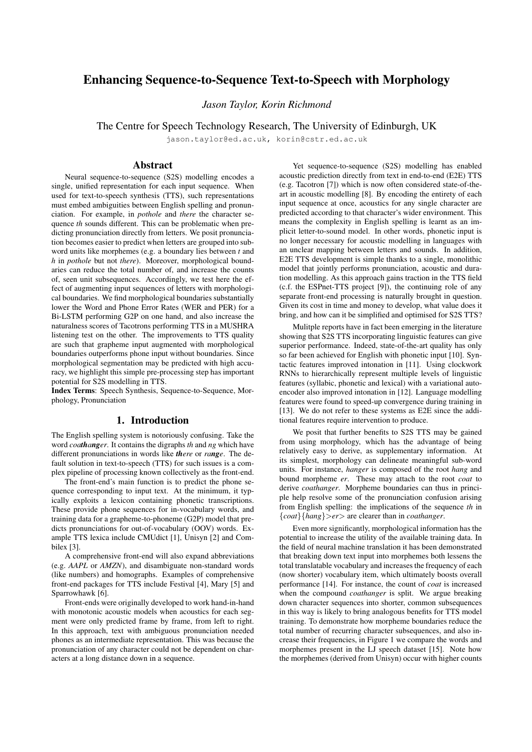# Enhancing Sequence-to-Sequence Text-to-Speech with Morphology

*Jason Taylor, Korin Richmond*

The Centre for Speech Technology Research, The University of Edinburgh, UK

jason.taylor@ed.ac.uk, korin@cstr.ed.ac.uk

### Abstract

Neural sequence-to-sequence (S2S) modelling encodes a single, unified representation for each input sequence. When used for text-to-speech synthesis (TTS), such representations must embed ambiguities between English spelling and pronunciation. For example, in *pothole* and *there* the character sequence *th* sounds different. This can be problematic when predicting pronunciation directly from letters. We posit pronunciation becomes easier to predict when letters are grouped into subword units like morphemes (e.g. a boundary lies between *t* and *h* in *pothole* but not *there*). Moreover, morphological boundaries can reduce the total number of, and increase the counts of, seen unit subsequences. Accordingly, we test here the effect of augmenting input sequences of letters with morphological boundaries. We find morphological boundaries substantially lower the Word and Phone Error Rates (WER and PER) for a Bi-LSTM performing G2P on one hand, and also increase the naturalness scores of Tacotrons performing TTS in a MUSHRA listening test on the other. The improvements to TTS quality are such that grapheme input augmented with morphological boundaries outperforms phone input without boundaries. Since morphological segmentation may be predicted with high accuracy, we highlight this simple pre-processing step has important potential for S2S modelling in TTS.

Index Terms: Speech Synthesis, Sequence-to-Sequence, Morphology, Pronunciation

# 1. Introduction

The English spelling system is notoriously confusing. Take the word *coathanger*. It contains the digraphs *th* and *ng* which have different pronunciations in words like *there* or *range*. The default solution in text-to-speech (TTS) for such issues is a complex pipeline of processing known collectively as the front-end.

The front-end's main function is to predict the phone sequence corresponding to input text. At the minimum, it typically exploits a lexicon containing phonetic transcriptions. These provide phone sequences for in-vocabulary words, and training data for a grapheme-to-phoneme (G2P) model that predicts pronunciations for out-of-vocabulary (OOV) words. Example TTS lexica include CMUdict [1], Unisyn [2] and Combilex [3].

A comprehensive front-end will also expand abbreviations (e.g. *AAPL* or *AMZN*), and disambiguate non-standard words (like numbers) and homographs. Examples of comprehensive front-end packages for TTS include Festival [4], Mary [5] and Sparrowhawk [6].

Front-ends were originally developed to work hand-in-hand with monotonic acoustic models when acoustics for each segment were only predicted frame by frame, from left to right. In this approach, text with ambiguous pronunciation needed phones as an intermediate representation. This was because the pronunciation of any character could not be dependent on characters at a long distance down in a sequence.

Yet sequence-to-sequence (S2S) modelling has enabled acoustic prediction directly from text in end-to-end (E2E) TTS (e.g. Tacotron [7]) which is now often considered state-of-theart in acoustic modelling [8]. By encoding the entirety of each input sequence at once, acoustics for any single character are predicted according to that character's wider environment. This means the complexity in English spelling is learnt as an implicit letter-to-sound model. In other words, phonetic input is no longer necessary for acoustic modelling in languages with an unclear mapping between letters and sounds. In addition, E2E TTS development is simple thanks to a single, monolithic model that jointly performs pronunciation, acoustic and duration modelling. As this approach gains traction in the TTS field (c.f. the ESPnet-TTS project [9]), the continuing role of any separate front-end processing is naturally brought in question. Given its cost in time and money to develop, what value does it bring, and how can it be simplified and optimised for S2S TTS?

Mulitple reports have in fact been emerging in the literature showing that S2S TTS incorporating linguistic features can give superior performance. Indeed, state-of-the-art quality has only so far been achieved for English with phonetic input [10]. Syntactic features improved intonation in [11]. Using clockwork RNNs to hierarchically represent multiple levels of linguistic features (syllabic, phonetic and lexical) with a variational autoencoder also improved intonation in [12]. Language modelling features were found to speed-up convergence during training in [13]. We do not refer to these systems as E2E since the additional features require intervention to produce.

We posit that further benefits to S2S TTS may be gained from using morphology, which has the advantage of being relatively easy to derive, as supplementary information. At its simplest, morphology can delineate meaningful sub-word units. For instance, *hanger* is composed of the root *hang* and bound morpheme *er*. These may attach to the root *coat* to derive *coathanger*. Morpheme boundaries can thus in principle help resolve some of the pronunciation confusion arising from English spelling: the implications of the sequence *th* in {*coat*}{*hang*}>*er*> are clearer than in *coathanger*.

Even more significantly, morphological information has the potential to increase the utility of the available training data. In the field of neural machine translation it has been demonstrated that breaking down text input into morphemes both lessens the total translatable vocabulary and increases the frequency of each (now shorter) vocabulary item, which ultimately boosts overall performance [14]. For instance, the count of *coat* is increased when the compound *coathanger* is split. We argue breaking down character sequences into shorter, common subsequences in this way is likely to bring analogous benefits for TTS model training. To demonstrate how morpheme boundaries reduce the total number of recurring character subsequences, and also increase their frequencies, in Figure 1 we compare the words and morphemes present in the LJ speech dataset [15]. Note how the morphemes (derived from Unisyn) occur with higher counts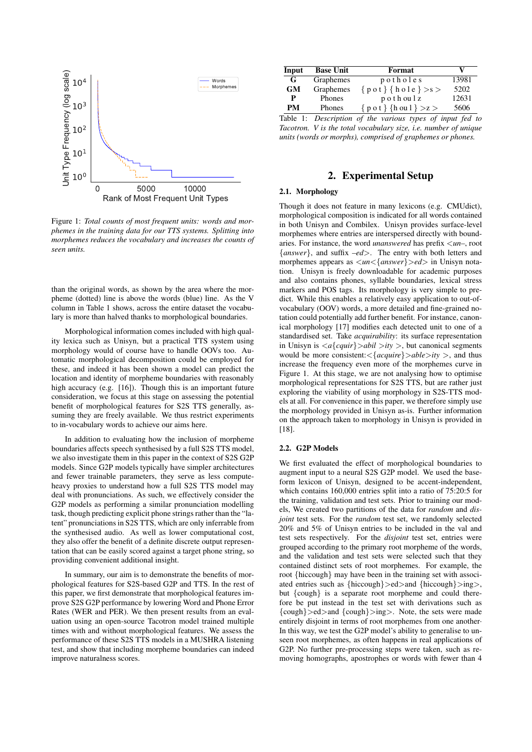

Figure 1: *Total counts of most frequent units: words and morphemes in the training data for our TTS systems. Splitting into morphemes reduces the vocabulary and increases the counts of seen units.*

than the original words, as shown by the area where the morpheme (dotted) line is above the words (blue) line. As the V column in Table 1 shows, across the entire dataset the vocabulary is more than halved thanks to morphological boundaries.

Morphological information comes included with high quality lexica such as Unisyn, but a practical TTS system using morphology would of course have to handle OOVs too. Automatic morphological decomposition could be employed for these, and indeed it has been shown a model can predict the location and identity of morpheme boundaries with reasonably high accuracy (e.g. [16]). Though this is an important future consideration, we focus at this stage on assessing the potential benefit of morphological features for S2S TTS generally, assuming they are freely available. We thus restrict experiments to in-vocabulary words to achieve our aims here.

In addition to evaluating how the inclusion of morpheme boundaries affects speech synthesised by a full S2S TTS model, we also investigate them in this paper in the context of S2S G2P models. Since G2P models typically have simpler architectures and fewer trainable parameters, they serve as less computeheavy proxies to understand how a full S2S TTS model may deal with pronunciations. As such, we effectively consider the G2P models as performing a similar pronunciation modelling task, though predicting explicit phone strings rather than the "latent" pronunciations in S2S TTS, which are only inferrable from the synthesised audio. As well as lower computational cost, they also offer the benefit of a definite discrete output representation that can be easily scored against a target phone string, so providing convenient additional insight.

In summary, our aim is to demonstrate the benefits of morphological features for S2S-based G2P and TTS. In the rest of this paper, we first demonstrate that morphological features improve S2S G2P performance by lowering Word and Phone Error Rates (WER and PER). We then present results from an evaluation using an open-source Tacotron model trained multiple times with and without morphological features. We assess the performance of these S2S TTS models in a MUSHRA listening test, and show that including morpheme boundaries can indeed improve naturalness scores.

| Input | <b>Base Unit</b> | Format                                      | v     |
|-------|------------------|---------------------------------------------|-------|
| G     | Graphemes        | $p$ o tholes                                | 13981 |
| GM    | Graphemes        | $\{pot\}$ {hole} >s >                       | 5202  |
| P     | Phones           | $p$ o t h ou $l$ z                          | 12631 |
| PM    | Phones           | $\{$ p o t $\}$ $\{$ h ou $1$ $\}$ $>z$ $>$ | 5606  |

Table 1: *Description of the various types of input fed to Tacotron. V is the total vocabulary size, i.e. number of unique units (words or morphs), comprised of graphemes or phones.*

## 2. Experimental Setup

### 2.1. Morphology

Though it does not feature in many lexicons (e.g. CMUdict), morphological composition is indicated for all words contained in both Unisyn and Combilex. Unisyn provides surface-level morphemes where entries are interspersed directly with boundaries. For instance, the word *unanswered* has prefix <*un–*, root {*answer*}, and suffix *–ed*>. The entry with both letters and morphemes appears as <*un*<{*answer*}>*ed*> in Unisyn notation. Unisyn is freely downloadable for academic purposes and also contains phones, syllable boundaries, lexical stress markers and POS tags. Its morphology is very simple to predict. While this enables a relatively easy application to out-ofvocabulary (OOV) words, a more detailed and fine-grained notation could potentially add further benefit. For instance, canonical morphology [17] modifies each detected unit to one of a standardised set. Take *acquirability*: its surface representation in Unisyn is  $\langle a{quir}\rangle$  *abil*  $>ity$  >, but canonical segments would be more consistent:<{*acquire*}>*able*>*ity* >, and thus increase the frequency even more of the morphemes curve in Figure 1. At this stage, we are not analysing how to optimise morphological representations for S2S TTS, but are rather just exploring the viability of using morphology in S2S-TTS models at all. For convenience in this paper, we therefore simply use the morphology provided in Unisyn as-is. Further information on the approach taken to morphology in Unisyn is provided in [18].

#### 2.2. G2P Models

We first evaluated the effect of morphological boundaries to augment input to a neural S2S G2P model. We used the baseform lexicon of Unisyn, designed to be accent-independent, which contains 160,000 entries split into a ratio of 75:20:5 for the training, validation and test sets. Prior to training our models, We created two partitions of the data for *random* and *disjoint* test sets. For the *random* test set, we randomly selected 20% and 5% of Unisyn entries to be included in the val and test sets respectively. For the *disjoint* test set, entries were grouped according to the primary root morpheme of the words, and the validation and test sets were selected such that they contained distinct sets of root morphemes. For example, the root {hiccough} may have been in the training set with associated entries such as  $\{hicough\} > ed > and \{hicough\} > ing >$ , but {cough} is a separate root morpheme and could therefore be put instead in the test set with derivations such as {cough}>ed>and {cough}>ing>. Note, the sets were made entirely disjoint in terms of root morphemes from one another· In this way, we test the G2P model's ability to generalise to unseen root morphemes, as often happens in real applications of G2P. No further pre-processing steps were taken, such as removing homographs, apostrophes or words with fewer than 4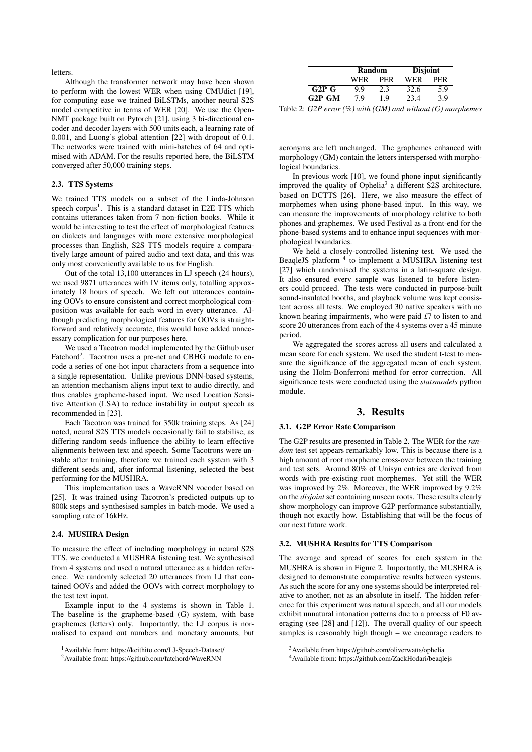letters.

Although the transformer network may have been shown to perform with the lowest WER when using CMUdict [19], for computing ease we trained BiLSTMs, another neural S2S model competitive in terms of WER [20]. We use the Open-NMT package built on Pytorch [21], using 3 bi-directional encoder and decoder layers with 500 units each, a learning rate of 0.001, and Luong's global attention [22] with dropout of 0.1. The networks were trained with mini-batches of 64 and optimised with ADAM. For the results reported here, the BiLSTM converged after 50,000 training steps.

#### 2.3. TTS Systems

We trained TTS models on a subset of the Linda-Johnson speech corpus<sup>1</sup>. This is a standard dataset in E2E TTS which contains utterances taken from 7 non-fiction books. While it would be interesting to test the effect of morphological features on dialects and languages with more extensive morphological processes than English, S2S TTS models require a comparatively large amount of paired audio and text data, and this was only most conveniently available to us for English.

Out of the total 13,100 utterances in LJ speech (24 hours), we used 9871 utterances with IV items only, totalling approximately 18 hours of speech. We left out utterances containing OOVs to ensure consistent and correct morphological composition was available for each word in every utterance. Although predicting morphological features for OOVs is straightforward and relatively accurate, this would have added unnecessary complication for our purposes here.

We used a Tacotron model implemented by the Github user Fatchord<sup>2</sup>. Tacotron uses a pre-net and CBHG module to encode a series of one-hot input characters from a sequence into a single representation. Unlike previous DNN-based systems, an attention mechanism aligns input text to audio directly, and thus enables grapheme-based input. We used Location Sensitive Attention (LSA) to reduce instability in output speech as recommended in [23].

Each Tacotron was trained for 350k training steps. As [24] noted, neural S2S TTS models occasionally fail to stabilise, as differing random seeds influence the ability to learn effective alignments between text and speech. Some Tacotrons were unstable after training, therefore we trained each system with 3 different seeds and, after informal listening, selected the best performing for the MUSHRA.

This implementation uses a WaveRNN vocoder based on [25]. It was trained using Tacotron's predicted outputs up to 800k steps and synthesised samples in batch-mode. We used a sampling rate of 16kHz.

#### 2.4. MUSHRA Design

To measure the effect of including morphology in neural S2S TTS, we conducted a MUSHRA listening test. We synthesised from 4 systems and used a natural utterance as a hidden reference. We randomly selected 20 utterances from LJ that contained OOVs and added the OOVs with correct morphology to the test text input.

Example input to the 4 systems is shown in Table 1. The baseline is the grapheme-based (G) system, with base graphemes (letters) only. Importantly, the LJ corpus is normalised to expand out numbers and monetary amounts, but

|                     | Random |     | <b>Disjoint</b> |     |
|---------------------|--------|-----|-----------------|-----|
|                     | WER    | PER | WER             | PER |
| $G2P_G$             | Q Q    | 2.3 | 32.6            | 5.9 |
| G <sub>2</sub> P GM | 79     | 1 Q | 23.4            | 3.9 |

Table 2: *G2P error (%) with (GM) and without (G) morphemes*

acronyms are left unchanged. The graphemes enhanced with morphology (GM) contain the letters interspersed with morphological boundaries.

In previous work [10], we found phone input significantly improved the quality of Ophelia<sup>3</sup> a different S2S architecture, based on DCTTS [26]. Here, we also measure the effect of morphemes when using phone-based input. In this way, we can measure the improvements of morphology relative to both phones and graphemes. We used Festival as a front-end for the phone-based systems and to enhance input sequences with morphological boundaries.

We held a closely-controlled listening test. We used the BeaqleJS platform<sup>4</sup> to implement a MUSHRA listening test [27] which randomised the systems in a latin-square design. It also ensured every sample was listened to before listeners could proceed. The tests were conducted in purpose-built sound-insulated booths, and playback volume was kept consistent across all tests. We employed 30 native speakers with no known hearing impairments, who were paid *£*7 to listen to and score 20 utterances from each of the 4 systems over a 45 minute period.

We aggregated the scores across all users and calculated a mean score for each system. We used the student t-test to measure the significance of the aggregated mean of each system, using the Holm-Bonferroni method for error correction. All significance tests were conducted using the *statsmodels* python module.

#### 3. Results

#### 3.1. G2P Error Rate Comparison

The G2P results are presented in Table 2. The WER for the *random* test set appears remarkably low. This is because there is a high amount of root morpheme cross-over between the training and test sets. Around 80% of Unisyn entries are derived from words with pre-existing root morphemes. Yet still the WER was improved by 2%. Moreover, the WER improved by 9.2% on the *disjoint* set containing unseen roots. These results clearly show morphology can improve G2P performance substantially, though not exactly how. Establishing that will be the focus of our next future work.

#### 3.2. MUSHRA Results for TTS Comparison

The average and spread of scores for each system in the MUSHRA is shown in Figure 2. Importantly, the MUSHRA is designed to demonstrate comparative results between systems. As such the score for any one systems should be interpreted relative to another, not as an absolute in itself. The hidden reference for this experiment was natural speech, and all our models exhibit unnatural intonation patterns due to a process of F0 averaging (see [28] and [12]). The overall quality of our speech samples is reasonably high though – we encourage readers to

<sup>1</sup>Available from: https://keithito.com/LJ-Speech-Dataset/

<sup>2</sup>Available from: https://github.com/fatchord/WaveRNN

<sup>&</sup>lt;sup>3</sup>Available from https://github.com/oliverwatts/ophelia

<sup>4</sup>Available from: https://github.com/ZackHodari/beaqlejs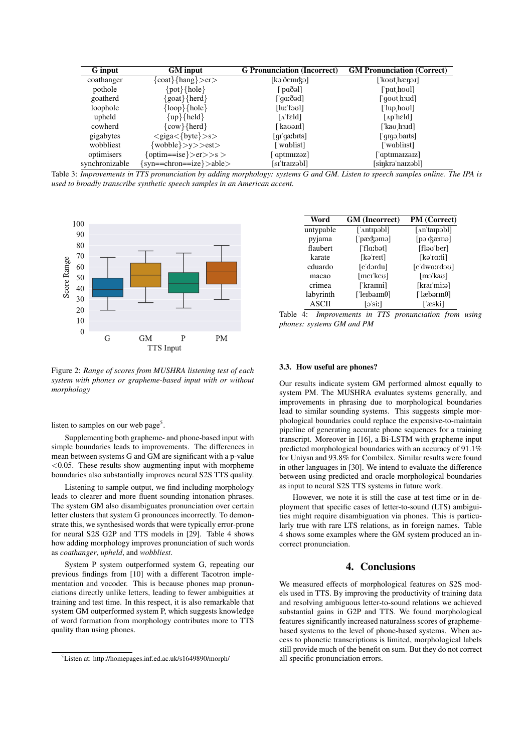| <b>G</b> input | <b>GM</b> input                                        | <b>G</b> Pronunciation (Incorrect)  | <b>GM Pronunciation (Correct)</b>                           |
|----------------|--------------------------------------------------------|-------------------------------------|-------------------------------------------------------------|
| coathanger     | $\{\text{coat}\}\{\text{hang}\}\text{>er}\text{>}$     | $[k3\delta$ emckə $]$               | [ˈkoʊtˌhæŋəɪ]                                               |
| pothole        | $\{pot\}$ {hole}                                       | $\lceil \text{paðol} \rceil$        | ['pat <sub>.hov</sub> ]]                                    |
| goatherd       | $\{$ goat $\}$ {herd }                                 | [ˈqɑːðəd]                           | [ˈqoʊtˌhɜɹd]                                                |
| loophole       | $\{loop\}$ {hole}                                      | [luːˈfəʊl]                          | [' $\lceil \text{up} \rceil$ hove $\lceil \text{up} \rceil$ |
| upheld         | $\{up\}$ {held}                                        | $\lceil \Lambda \text{feld} \rceil$ | $\lceil \Delta p \rceil$ held $\lceil$                      |
| cowherd        | $\{\text{cow}\}\{\text{herd}\}\$                       | [ˈkaʊəɪd]                           | [ˈkaʊˌhɜɹd]                                                 |
| gigabytes      | $\langle giga \langle \text{byte} \rangle > s \rangle$ | $q_i'q_i$ s [qr $s$ ]               | ['qīgə barts]                                               |
| wobbliest      | {wobble}>y>>est>                                       | ['wablist]                          | ['wabliist]                                                 |
| optimisers     | {optim==ise}>er>>s>                                    | ['aptɪmɪzəz]                        | aptimaizə izl                                               |
| synchronizable | {syn==chron==ize}>able>                                | [sɪˈtraɪzəbl]                       | [sinkrəˈnaɪzəbl]                                            |

Table 3: *Improvements in TTS pronunciation by adding morphology: systems G and GM. Listen to speech samples online. The IPA is used to broadly transcribe synthetic speech samples in an American accent.*



Figure 2: *Range of scores from MUSHRA listening test of each system with phones or grapheme-based input with or without morphology*

listen to samples on our web page<sup>5</sup>.

Supplementing both grapheme- and phone-based input with simple boundaries leads to improvements. The differences in mean between systems G and GM are significant with a p-value  $< 0.05$ . These results show augmenting input with morpheme boundaries also substantially improves neural S2S TTS quality.

Listening to sample output, we find including morphology leads to clearer and more fluent sounding intonation phrases. The system GM also disambiguates pronunciation over certain letter clusters that system G pronounces incorrectly. To demonstrate this, we synthesised words that were typically error-prone for neural S2S G2P and TTS models in [29]. Table 4 shows how adding morphology improves pronunciation of such words as *coathanger*, *upheld*, and *wobbliest*.

System P system outperformed system G, repeating our previous findings from [10] with a different Tacotron implementation and vocoder. This is because phones map pronunciations directly unlike letters, leading to fewer ambiguities at training and test time. In this respect, it is also remarkable that system GM outperformed system P, which suggests knowledge of word formation from morphology contributes more to TTS quality than using phones.

| Word         | <b>GM</b> (Incorrect)             | PM (Correct)                     |
|--------------|-----------------------------------|----------------------------------|
| untypable    | ['Antipabl]                       | [An'tarpabl]                     |
| pyjama       | ['pæʤəmə]                         | [pəˈʤæmə]                        |
| flaubert     | ['fla:bət]                        | [fləv'ber]                       |
| karate       | [kəˈreɪt]                         | [kəˈrɑːti]                       |
| eduardo      | [e'dordu]                         | $[$ e'dw $\alpha$ :rd $\partial$ |
| macao        | [mer'kev]                         | [məˈkaʊ]                         |
| crimea       | [ˈkraimi]                         | [krar'mi:ə]                      |
| labyrinth    | ['leibəiin $\theta$ ]             | ['læbərm $\theta$ ]              |
| <b>ASCII</b> | $\lceil \cdot \cdot \cdot \rceil$ | [ˈæski]                          |

Table 4: *Improvements in TTS pronunciation from using phones: systems GM and PM*

#### 3.3. How useful are phones?

Our results indicate system GM performed almost equally to system PM. The MUSHRA evaluates systems generally, and improvements in phrasing due to morphological boundaries lead to similar sounding systems. This suggests simple morphological boundaries could replace the expensive-to-maintain pipeline of generating accurate phone sequences for a training transcript. Moreover in [16], a Bi-LSTM with grapheme input predicted morphological boundaries with an accuracy of 91.1% for Uniysn and 93.8% for Combilex. Similar results were found in other languages in [30]. We intend to evaluate the difference between using predicted and oracle morphological boundaries as input to neural S2S TTS systems in future work.

However, we note it is still the case at test time or in deployment that specific cases of letter-to-sound (LTS) ambiguities might require disambiguation via phones. This is particularly true with rare LTS relations, as in foreign names. Table 4 shows some examples where the GM system produced an incorrect pronunciation.

# 4. Conclusions

We measured effects of morphological features on S2S models used in TTS. By improving the productivity of training data and resolving ambiguous letter-to-sound relations we achieved substantial gains in G2P and TTS. We found morphological features significantly increased naturalness scores of graphemebased systems to the level of phone-based systems. When access to phonetic transcriptions is limited, morphological labels still provide much of the benefit on sum. But they do not correct all specific pronunciation errors.

<sup>5</sup>Listen at: http://homepages.inf.ed.ac.uk/s1649890/morph/